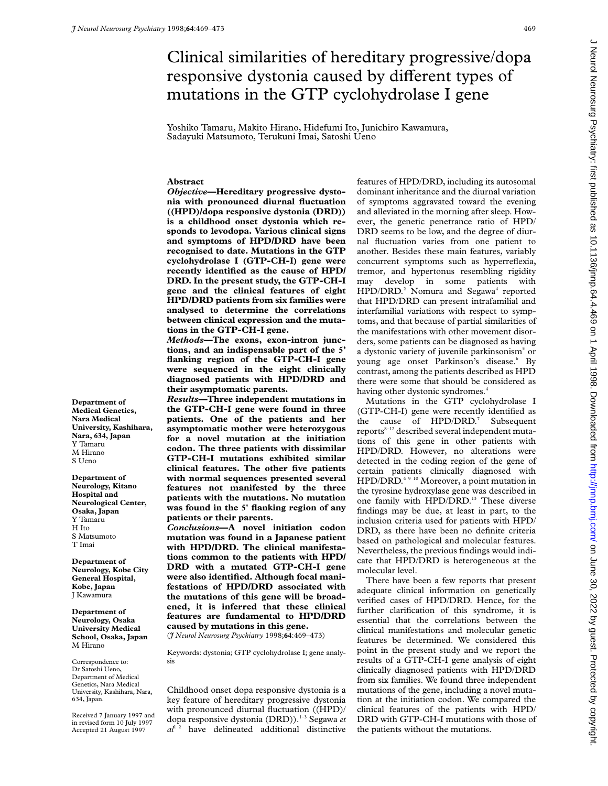# Clinical similarities of hereditary progressive/dopa responsive dystonia caused by different types of mutations in the GTP cyclohydrolase I gene

Yoshiko Tamaru, Makito Hirano, Hidefumi Ito, Junichiro Kawamura, Sadayuki Matsumoto, Terukuni Imai, Satoshi Ueno

# **Abstract**

*Objective***—Hereditary progressive dystonia with pronounced diurnal fluctuation ((HPD)/dopa responsive dystonia (DRD)) is a childhood onset dystonia which responds to levodopa. Various clinical signs and symptoms of HPD/DRD have been recognised to date. Mutations in the GTP cyclohydrolase I (GTP-CH-I) gene were recently identified as the cause of HPD/ DRD. In the present study, the GTP-CH-I gene and the clinical features of eight HPD/DRD patients from six families were analysed to determine the correlations between clinical expression and the mutations in the GTP-CH-I gene.**

*Methods***—The exons, exon-intron junctions, and an indispensable part of the 5' flanking region of the GTP-CH-I gene were sequenced in the eight clinically diagnosed patients with HPD/DRD and their asymptomatic parents.**

*Results***—Three independent mutations in the GTP-CH-I gene were found in three patients. One of the patients and her asymptomatic mother were heterozygous for a novel mutation at the initiation codon. The three patients with dissimilar GTP-CH-I mutations exhibited similar clinical features. The other five patients with normal sequences presented several features not manifested by the three patients with the mutations. No mutation was found in the 5' flanking region of any patients or their parents.**

*Conclusions***—A novel initiation codon mutation was found in a Japanese patient with HPD/DRD. The clinical manifestations common to the patients with HPD/ DRD with a mutated GTP-CH-I gene were also identified. Although focal manifestations of HPD/DRD associated with the mutations of this gene will be broadened, it is inferred that these clinical features are fundamental to HPD/DRD caused by mutations in this gene.** (*J Neurol Neurosurg Psychiatry* 1998;**64**:469–473)

Keywords: dystonia; GTP cyclohydrolase I; gene analysis

Childhood onset dopa responsive dystonia is a key feature of hereditary progressive dystonia with pronounced diurnal fluctuation ((HPD)/ dopa responsive dystonia (DRD)).<sup>1-3</sup> Segawa et  $al^{12}$  have delineated additional distinctive

features of HPD/DRD, including its autosomal dominant inheritance and the diurnal variation of symptoms aggravated toward the evening and alleviated in the morning after sleep. However, the genetic penetrance ratio of HPD/ DRD seems to be low, and the degree of diurnal fluctuation varies from one patient to another. Besides these main features, variably concurrent symptoms such as hyperreflexia, tremor, and hypertonus resembling rigidity may develop in some patients with HPD/DRD.<sup>2</sup> Nomura and Segawa<sup>4</sup> reported that HPD/DRD can present intrafamilial and interfamilial variations with respect to symptoms, and that because of partial similarities of the manifestations with other movement disorders, some patients can be diagnosed as having a dystonic variety of juvenile parkinsonism<sup>5</sup> or young age onset Parkinson's disease.<sup>6</sup> By contrast, among the patients described as HPD there were some that should be considered as having other dystonic syndromes.<sup>4</sup>

Mutations in the GTP cyclohydrolase I (GTP-CH-I) gene were recently identified as the cause of HPD/DRD.<sup>7</sup> Subsequent  $reports<sup>8-12</sup> described several independent muta$ tions of this gene in other patients with HPD/DRD. However, no alterations were detected in the coding region of the gene of certain patients clinically diagnosed with HPD/DRD.4 9 10 Moreover, a point mutation in the tyrosine hydroxylase gene was described in one family with HPD/DRD.<sup>13</sup> These diverse findings may be due, at least in part, to the inclusion criteria used for patients with HPD/ DRD, as there have been no definite criteria based on pathological and molecular features. Nevertheless, the previous findings would indicate that HPD/DRD is heterogeneous at the molecular level.

There have been a few reports that present adequate clinical information on genetically verified cases of HPD/DRD. Hence, for the further clarification of this syndrome, it is essential that the correlations between the clinical manifestations and molecular genetic features be determined. We considered this point in the present study and we report the results of a GTP-CH-I gene analysis of eight clinically diagnosed patients with HPD/DRD from six families. We found three independent mutations of the gene, including a novel mutation at the initiation codon. We compared the clinical features of the patients with HPD/ DRD with GTP-CH-I mutations with those of the patients without the mutations.

**Department of Medical Genetics, Nara Medical University, Kashihara, Nara, 634, Japan** Y Tamaru M Hirano S Ueno

**Department of Neurology, Kitano Hospital and Neurological Center, Osaka, Japan** Y Tamaru H Ito S Matsumoto T Imai

**Department of Neurology, Kobe City General Hospital, Kobe, Japan** J Kawamura

**Department of Neurology, Osaka University Medical School, Osaka, Japan** M Hirano

Correspondence to: Dr Satoshi Ueno, Department of Medical Genetics, Nara Medical University, Kashihara, Nara, 634, Japan.

Received 7 January 1997 and in revised form 10 July 1997 Accepted 21 August 1997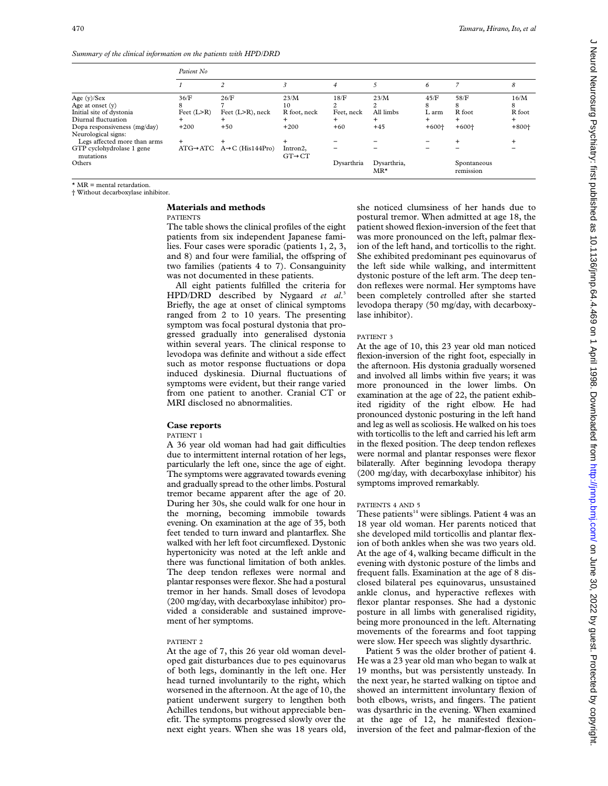*Summary of the clinical information on the patients with HPD/DRD*

|                                        | Patient No.    |                                                     |                                 |            |                             |         |                          |         |
|----------------------------------------|----------------|-----------------------------------------------------|---------------------------------|------------|-----------------------------|---------|--------------------------|---------|
|                                        |                |                                                     |                                 | 4          |                             | 6       |                          | 8       |
| Age $(y)/$ Sex                         | 36/F           | 26/F                                                | 23/M                            | 18/F       | 23/M                        | 45/F    | 58/F                     | 16/M    |
| Age at onset $(v)$                     | 8              |                                                     | 10                              |            |                             | 8       | 8                        | 8       |
| Initial site of dystonia               | Feet $(L > R)$ | Feet $(L>R)$ , neck                                 | R foot, neck                    | Feet, neck | All limbs                   | L arm   | R foot                   | R foot  |
| Diurnal fluctuation                    | $\pm$          |                                                     |                                 |            | $^+$                        | $+$     |                          | $^{+}$  |
| Dopa responsiveness (mg/day)           | $+200$         | $+50$                                               | $+200$                          | $+60$      | $+45$                       | $+600+$ | $+600+$                  | $+800+$ |
| Neurological signs:                    |                |                                                     |                                 |            |                             |         |                          |         |
| Legs affected more than arms           | $\ddot{}$      |                                                     |                                 |            |                             |         | $\div$                   |         |
| GTP cyclohydrolase 1 gene<br>mutations |                | $ATG \rightarrow ATC$ $A \rightarrow C$ (His144Pro) | Intron2,<br>$GT \rightarrow CT$ |            |                             |         |                          |         |
| Others                                 |                |                                                     |                                 | Dysarthria | Dysarthria,<br>$MR^{\star}$ |         | Spontaneous<br>remission |         |

 $*$  MR  $=$  mental retardation.

† Without decarboxylase inhibitor.

## **Materials and methods**

PATIENTS

The table shows the clinical profiles of the eight patients from six independent Japanese families. Four cases were sporadic (patients 1, 2, 3, and 8) and four were familial, the offspring of two families (patients 4 to 7). Consanguinity was not documented in these patients.

All eight patients fulfilled the criteria for HPD/DRD described by Nygaard *et al*. 3 Briefly, the age at onset of clinical symptoms ranged from 2 to 10 years. The presenting symptom was focal postural dystonia that progressed gradually into generalised dystonia within several years. The clinical response to levodopa was definite and without a side effect such as motor response fluctuations or dopa induced dyskinesia. Diurnal fluctuations of symptoms were evident, but their range varied from one patient to another. Cranial CT or MRI disclosed no abnormalities.

## **Case reports**

# PATIENT 1

A 36 year old woman had had gait difficulties due to intermittent internal rotation of her legs, particularly the left one, since the age of eight. The symptoms were aggravated towards evening and gradually spread to the other limbs. Postural tremor became apparent after the age of 20. During her 30s, she could walk for one hour in the morning, becoming immobile towards evening. On examination at the age of 35, both feet tended to turn inward and plantarflex. She walked with her left foot circumflexed. Dystonic hypertonicity was noted at the left ankle and there was functional limitation of both ankles. The deep tendon reflexes were normal and plantar responses were flexor. She had a postural tremor in her hands. Small doses of levodopa (200 mg/day, with decarboxylase inhibitor) provided a considerable and sustained improvement of her symptoms.

#### PATIENT 2

At the age of 7, this 26 year old woman developed gait disturbances due to pes equinovarus of both legs, dominantly in the left one. Her head turned involuntarily to the right, which worsened in the afternoon. At the age of 10, the patient underwent surgery to lengthen both Achilles tendons, but without appreciable benefit. The symptoms progressed slowly over the next eight years. When she was 18 years old, she noticed clumsiness of her hands due to postural tremor. When admitted at age 18, the patient showed flexion-inversion of the feet that was more pronounced on the left, palmar flexion of the left hand, and torticollis to the right. She exhibited predominant pes equinovarus of the left side while walking, and intermittent dystonic posture of the left arm. The deep tendon reflexes were normal. Her symptoms have been completely controlled after she started levodopa therapy (50 mg/day, with decarboxylase inhibitor).

#### PATIENT 3

At the age of 10, this 23 year old man noticed flexion-inversion of the right foot, especially in the afternoon. His dystonia gradually worsened and involved all limbs within five years; it was more pronounced in the lower limbs. On examination at the age of 22, the patient exhibited rigidity of the right elbow. He had pronounced dystonic posturing in the left hand and leg as well as scoliosis. He walked on his toes with torticollis to the left and carried his left arm in the flexed position. The deep tendon reflexes were normal and plantar responses were flexor bilaterally. After beginning levodopa therapy (200 mg/day, with decarboxylase inhibitor) his symptoms improved remarkably.

#### PATIENTS 4 AND 5

These patients<sup>14</sup> were siblings. Patient 4 was an 18 year old woman. Her parents noticed that she developed mild torticollis and plantar flexion of both ankles when she was two years old. At the age of 4, walking became difficult in the evening with dystonic posture of the limbs and frequent falls. Examination at the age of 8 disclosed bilateral pes equinovarus, unsustained ankle clonus, and hyperactive reflexes with flexor plantar responses. She had a dystonic posture in all limbs with generalised rigidity, being more pronounced in the left. Alternating movements of the forearms and foot tapping were slow. Her speech was slightly dysarthric.

Patient 5 was the older brother of patient 4. He was a 23 year old man who began to walk at 19 months, but was persistently unsteady. In the next year, he started walking on tiptoe and showed an intermittent involuntary flexion of both elbows, wrists, and fingers. The patient was dysarthric in the evening. When examined at the age of 12, he manifested flexioninversion of the feet and palmar-flexion of the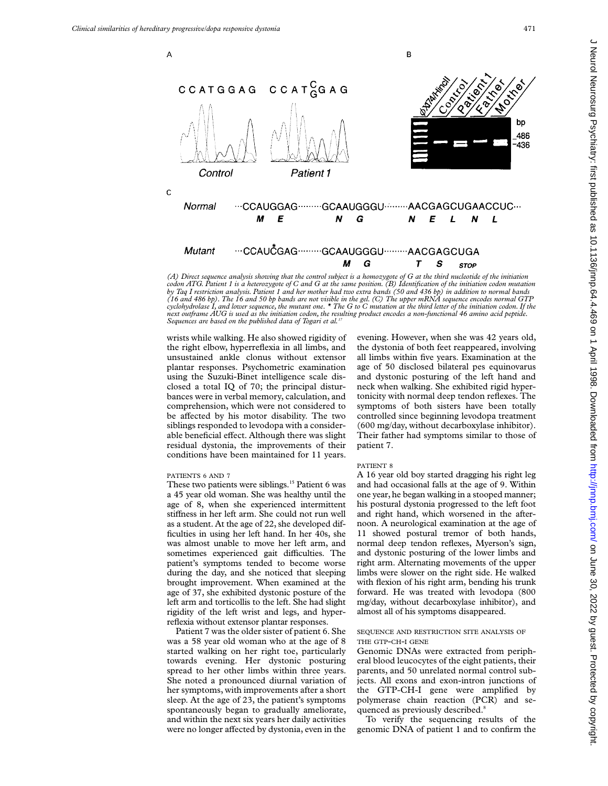

*(A) Direct sequence analysis showing that the control subject is a homozygote of G at the third nucleotide of the initiation* codon ATG. Patient 1 is a heterozygote of C and G at the same position. (B) Identification of the initiation codon mutation<br>by Taq I restriction analysis. Patient 1 and her mother had two extra bands (50 and 436 bp) in add *(16 and 486 bp). The 16 and 50 bp bands are not visible in the gel. (C) The upper mRNA sequence encodes normal GTP cyclohydrolase I, and lower sequence, the mutant one. \* The G to C mutation at the third letter of the initiation codon. If the next outframe AUG is used as the initiation codon, the resulting product encodes a non-functional 46 amino acid peptide. Sequences are based on the published data of Togari et al.17*

wrists while walking. He also showed rigidity of the right elbow, hyperreflexia in all limbs, and unsustained ankle clonus without extensor plantar responses. Psychometric examination using the Suzuki-Binet intelligence scale disclosed a total IQ of 70; the principal disturbances were in verbal memory, calculation, and comprehension, which were not considered to be affected by his motor disability. The two siblings responded to levodopa with a considerable beneficial effect. Although there was slight residual dystonia, the improvements of their conditions have been maintained for 11 years.

#### PATIENTS 6 AND 7

These two patients were siblings.<sup>15</sup> Patient 6 was a 45 year old woman. She was healthy until the age of 8, when she experienced intermittent stiffness in her left arm. She could not run well as a student. At the age of 22, she developed difficulties in using her left hand. In her 40s, she was almost unable to move her left arm, and sometimes experienced gait difficulties. The patient's symptoms tended to become worse during the day, and she noticed that sleeping brought improvement. When examined at the age of 37, she exhibited dystonic posture of the left arm and torticollis to the left. She had slight rigidity of the left wrist and legs, and hyperreflexia without extensor plantar responses.

Patient 7 was the older sister of patient 6. She was a 58 year old woman who at the age of 8 started walking on her right toe, particularly towards evening. Her dystonic posturing spread to her other limbs within three years. She noted a pronounced diurnal variation of her symptoms, with improvements after a short sleep. At the age of 23, the patient's symptoms spontaneously began to gradually ameliorate, and within the next six years her daily activities were no longer affected by dystonia, even in the

evening. However, when she was 42 years old, the dystonia of both feet reappeared, involving all limbs within five years. Examination at the age of 50 disclosed bilateral pes equinovarus and dystonic posturing of the left hand and neck when walking. She exhibited rigid hypertonicity with normal deep tendon reflexes. The symptoms of both sisters have been totally controlled since beginning levodopa treatment (600 mg/day, without decarboxylase inhibitor). Their father had symptoms similar to those of patient 7.

#### PATIENT 8

A 16 year old boy started dragging his right leg and had occasional falls at the age of 9. Within one year, he began walking in a stooped manner; his postural dystonia progressed to the left foot and right hand, which worsened in the afternoon. A neurological examination at the age of 11 showed postural tremor of both hands, normal deep tendon reflexes, Myerson's sign, and dystonic posturing of the lower limbs and right arm. Alternating movements of the upper limbs were slower on the right side. He walked with flexion of his right arm, bending his trunk forward. He was treated with levodopa (800 mg/day, without decarboxylase inhibitor), and almost all of his symptoms disappeared.

# SEQUENCE AND RESTRICTION SITE ANALYSIS OF THE GTP-CH-I GENE

Genomic DNAs were extracted from peripheral blood leucocytes of the eight patients, their parents, and 50 unrelated normal control subjects. All exons and exon-intron junctions of the GTP-CH-I gene were amplified by polymerase chain reaction (PCR) and sequenced as previously described.<sup>8</sup>

To verify the sequencing results of the genomic DNA of patient 1 and to confirm the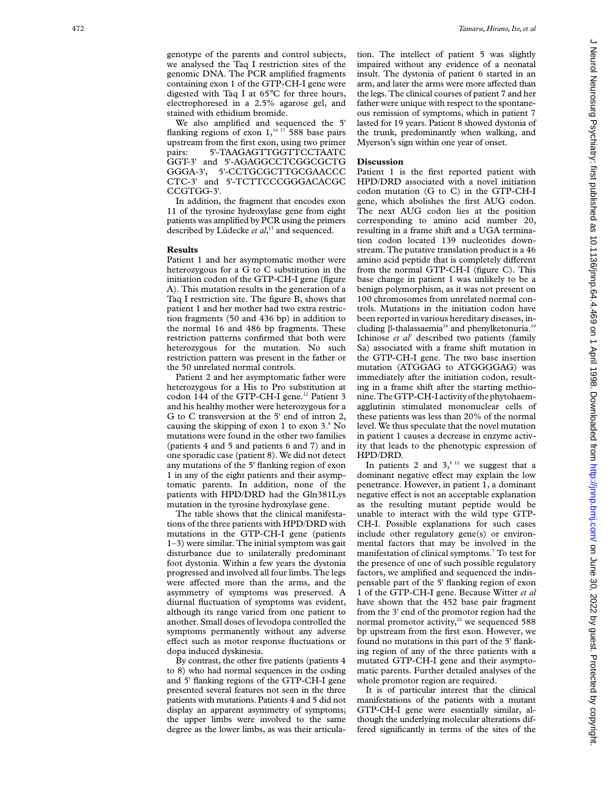We also amplified and sequenced the 5' flanking regions of exon  $1,16,17$  588 base pairs upstream from the first exon, using two primer pairs: 5'-TAAGAGTTGGTTCCTAATC GGT-3' and 5'-AGAGGCCTCGGCGCTG GGGA-3', 5'-CCTGCGCTTGCGAACCC CTC-3' and 5'-TCTTCCCGGGACACGC CCGTGG-3'.

In addition, the fragment that encodes exon 11 of the tyrosine hydroxylase gene from eight patients was amplified by PCR using the primers described by Lüdecke *et al*, <sup>13</sup> and sequenced.

#### **Results**

Patient 1 and her asymptomatic mother were heterozygous for a G to C substitution in the initiation codon of the GTP-CH-I gene (figure A). This mutation results in the generation of a Taq I restriction site. The figure B, shows that patient 1 and her mother had two extra restriction fragments (50 and 436 bp) in addition to the normal 16 and 486 bp fragments. These restriction patterns confirmed that both were heterozygous for the mutation. No such restriction pattern was present in the father or the 50 unrelated normal controls.

Patient 2 and her asymptomatic father were heterozygous for a His to Pro substitution at codon 144 of the GTP-CH-I gene.<sup>12</sup> Patient 3 and his healthy mother were heterozygous for a G to C transversion at the 5' end of intron 2, causing the skipping of exon 1 to exon 3. <sup>8</sup> No mutations were found in the other two families (patients 4 and 5 and patients 6 and 7) and in one sporadic case (patient 8). We did not detect any mutations of the 5' flanking region of exon 1 in any of the eight patients and their asymptomatic parents. In addition, none of the patients with HPD/DRD had the Gln381Lys mutation in the tyrosine hydroxylase gene.

The table shows that the clinical manifestations of the three patients with HPD/DRD with mutations in the GTP-CH-I gene (patients 1–3) were similar. The initial symptom was gait disturbance due to unilaterally predominant foot dystonia. Within a few years the dystonia progressed and involved all four limbs. The legs were affected more than the arms, and the asymmetry of symptoms was preserved. A diurnal fluctuation of symptoms was evident, although its range varied from one patient to another. Small doses of levodopa controlled the symptoms permanently without any adverse effect such as motor response fluctuations or dopa induced dyskinesia.

By contrast, the other five patients (patients 4 to 8) who had normal sequences in the coding and 5' flanking regions of the GTP-CH-I gene presented several features not seen in the three patients with mutations. Patients 4 and 5 did not display an apparent asymmetry of symptoms; the upper limbs were involved to the same degree as the lower limbs, as was their articulation. The intellect of patient 5 was slightly impaired without any evidence of a neonatal insult. The dystonia of patient 6 started in an arm, and later the arms were more affected than the legs. The clinical courses of patient 7 and her father were unique with respect to the spontaneous remission of symptoms, which in patient 7 lasted for 19 years. Patient 8 showed dystonia of the trunk, predominantly when walking, and Myerson's sign within one year of onset.

## **Discussion**

Patient 1 is the first reported patient with HPD/DRD associated with a novel initiation codon mutation (G to C) in the GTP-CH-I gene, which abolishes the first AUG codon. The next AUG codon lies at the position corresponding to amino acid number 20, resulting in a frame shift and a UGA termination codon located 139 nucleotides downstream. The putative translation product is a 46 amino acid peptide that is completely different from the normal GTP-CH-I (figure C). This base change in patient 1 was unlikely to be a benign polymorphism, as it was not present on 100 chromosomes from unrelated normal controls. Mutations in the initiation codon have been reported in various hereditary diseases, including  $\beta$ -thalassaemia<sup>18</sup> and phenylketonuria.<sup>19</sup> Ichinose *et al*<sup>7</sup> described two patients (family Sa) associated with a frame shift mutation in the GTP-CH-I gene. The two base insertion mutation (ATGGAG to ATGGGGAG) was immediately after the initiation codon, resulting in a frame shift after the starting methionine.TheGTP-CH-I activity of the phytohaemagglutinin stimulated mononuclear cells of these patients was less than 20% of the normal level. We thus speculate that the novel mutation in patient 1 causes a decrease in enzyme activity that leads to the phenotypic expression of HPD/DRD.

In patients 2 and  $3^{8}$ , <sup>12</sup> we suggest that a dominant negative effect may explain the low penetrance. However, in patient 1, a dominant .<br>negative effect is not an acceptable explanation as the resulting mutant peptide would be unable to interact with the wild type GTP-CH-I. Possible explanations for such cases include other regulatory gene(s) or environmental factors that may be involved in the manifestation of clinical symptoms. <sup>7</sup> To test for the presence of one of such possible regulatory factors, we amplified and sequenced the indispensable part of the 5' flanking region of exon 1 of the GTP-CH-I gene. Because Witter *et al* have shown that the 452 base pair fragment from the 3' end of the promotor region had the normal promotor activity, $22$  we sequenced 588 bp upstream from the first exon. However, we found no mutations in this part of the 5' flanking region of any of the three patients with a mutated GTP-CH-I gene and their asymptomatic parents. Further detailed analyses of the whole promotor region are required.

It is of particular interest that the clinical manifestations of the patients with a mutant GTP-CH-I gene were essentially similar, although the underlying molecular alterations differed significantly in terms of the sites of the